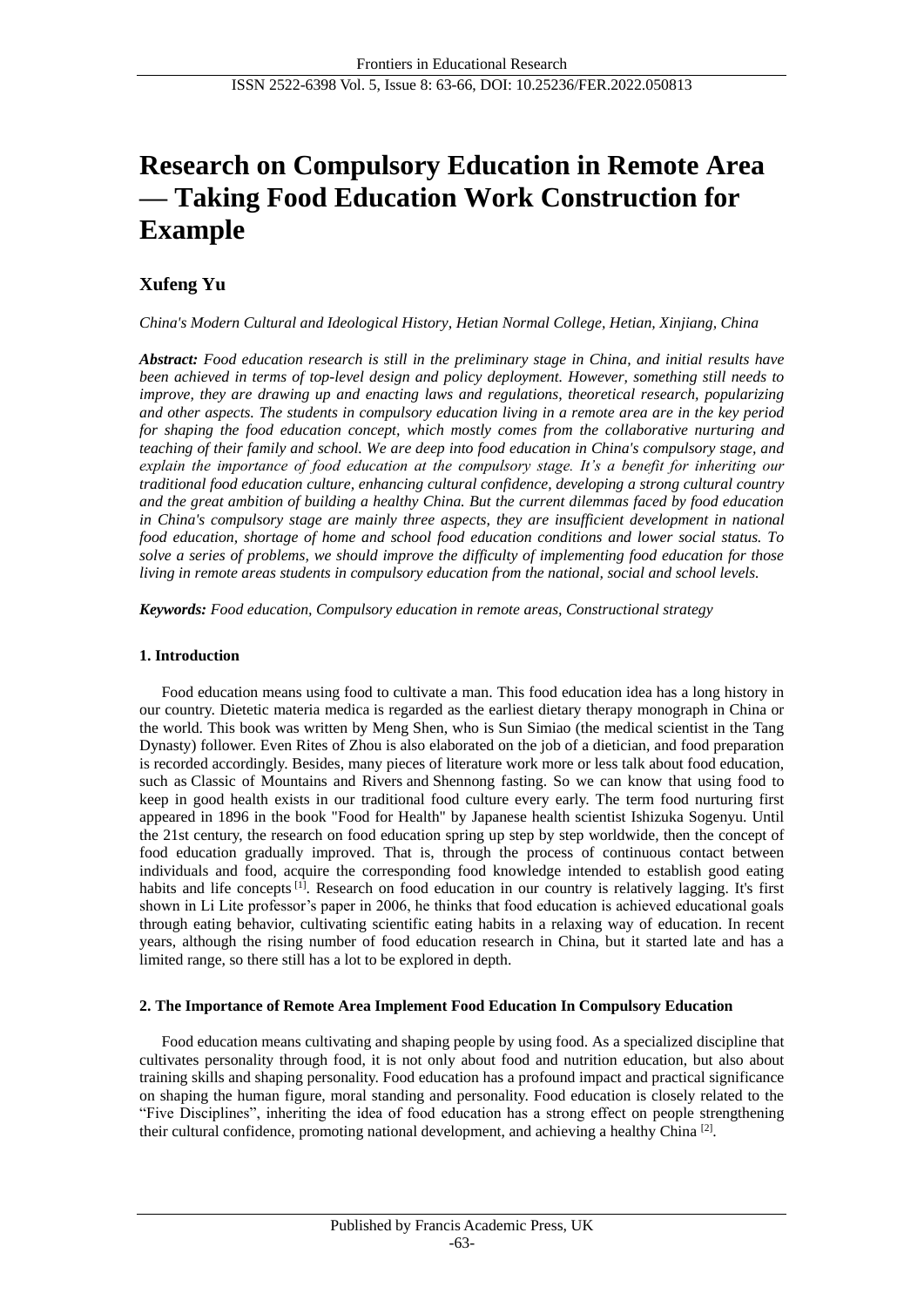# **Research on Compulsory Education in Remote Area — Taking Food Education Work Construction for Example**

# **Xufeng Yu**

*China's Modern Cultural and Ideological History, Hetian Normal College, Hetian, Xinjiang, China*

*Abstract: Food education research is still in the preliminary stage in China, and initial results have been achieved in terms of top-level design and policy deployment. However, something still needs to improve, they are drawing up and enacting laws and regulations, theoretical research, popularizing and other aspects. The students in compulsory education living in a remote area are in the key period for shaping the food education concept, which mostly comes from the collaborative nurturing and teaching of their family and school. We are deep into food education in China's compulsory stage, and explain the importance of food education at the compulsory stage. It's a benefit for inheriting our traditional food education culture, enhancing cultural confidence, developing a strong cultural country and the great ambition of building a healthy China. But the current dilemmas faced by food education in China's compulsory stage are mainly three aspects, they are insufficient development in national food education, shortage of home and school food education conditions and lower social status. To solve a series of problems, we should improve the difficulty of implementing food education for those living in remote areas students in compulsory education from the national, social and school levels.*

*Keywords: Food education, Compulsory education in remote areas, Constructional strategy*

# **1. Introduction**

Food education means using food to cultivate a man. This food education idea has a long history in our country. Dietetic materia medica is regarded as the earliest dietary therapy monograph in China or the world. This book was written by Meng Shen, who is Sun Simiao (the medical scientist in the Tang Dynasty) follower. Even Rites of Zhou is also elaborated on the job of a dietician, and food preparation is recorded accordingly. Besides, many pieces of literature work more or less talk about food education, such as Classic of Mountains and Rivers and Shennong fasting. So we can know that using food to keep in good health exists in our traditional food culture every early. The term food nurturing first appeared in 1896 in the book "Food for Health" by Japanese health scientist Ishizuka Sogenyu. Until the 21st century, the research on food education spring up step by step worldwide, then the concept of food education gradually improved. That is, through the process of continuous contact between individuals and food, acquire the corresponding food knowledge intended to establish good eating habits and life concepts <sup>[1]</sup>. Research on food education in our country is relatively lagging. It's first shown in Li Lite professor's paper in 2006, he thinks that food education is achieved educational goals through eating behavior, cultivating scientific eating habits in a relaxing way of education. In recent years, although the rising number of food education research in China, but it started late and has a limited range, so there still has a lot to be explored in depth.

#### **2. The Importance of Remote Area Implement Food Education In Compulsory Education**

Food education means cultivating and shaping people by using food. As a specialized discipline that cultivates personality through food, it is not only about food and nutrition education, but also about training skills and shaping personality. Food education has a profound impact and practical significance on shaping the human figure, moral standing and personality. Food education is closely related to the "Five Disciplines", inheriting the idea of food education has a strong effect on people strengthening their cultural confidence, promoting national development, and achieving a healthy China<sup>[2]</sup>.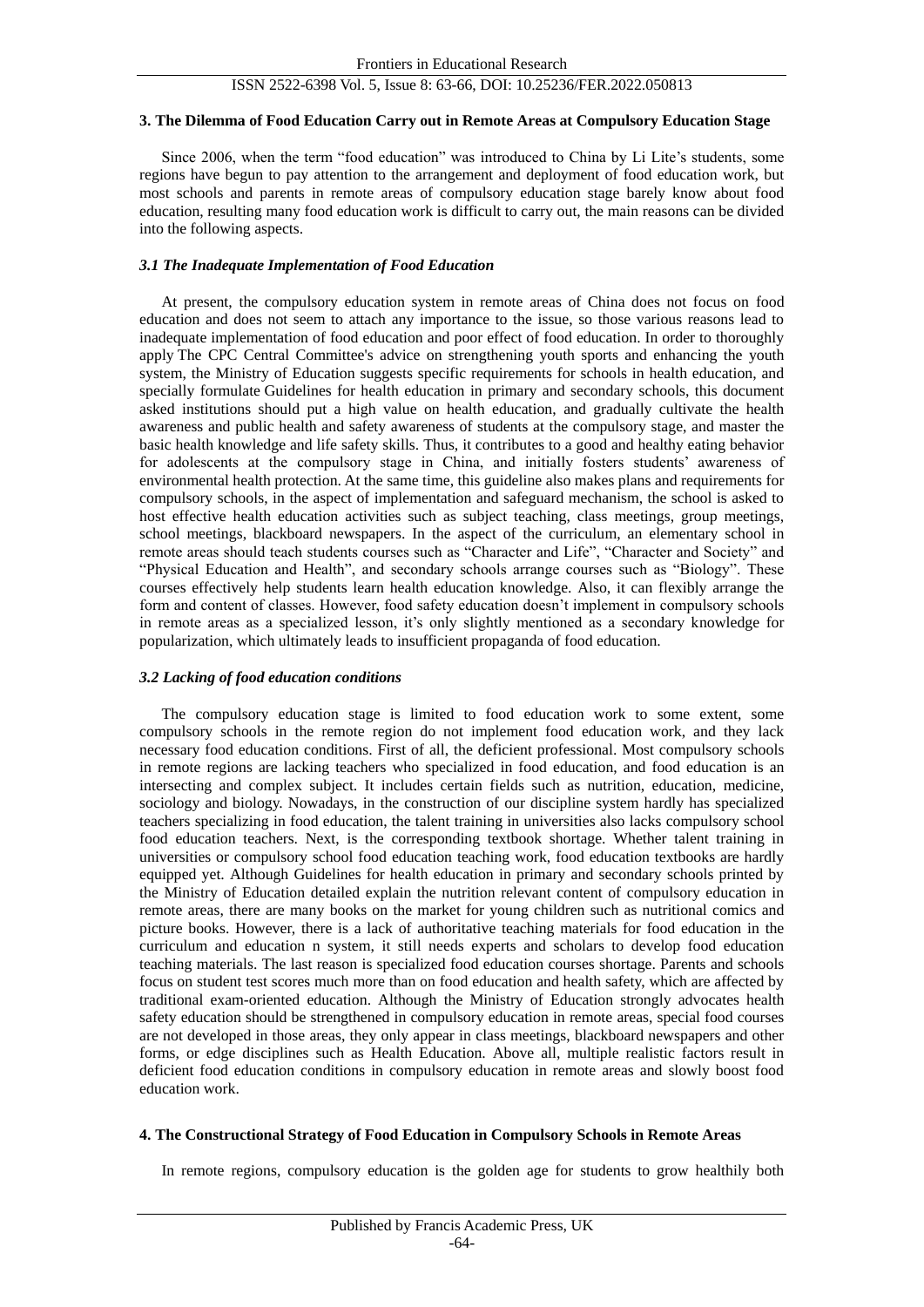# ISSN 2522-6398 Vol. 5, Issue 8: 63-66, DOI: 10.25236/FER.2022.050813

#### **3. The Dilemma of Food Education Carry out in Remote Areas at Compulsory Education Stage**

Since 2006, when the term "food education" was introduced to China by Li Lite's students, some regions have begun to pay attention to the arrangement and deployment of food education work, but most schools and parents in remote areas of compulsory education stage barely know about food education, resulting many food education work is difficult to carry out, the main reasons can be divided into the following aspects.

#### *3.1 The Inadequate Implementation of Food Education*

At present, the compulsory education system in remote areas of China does not focus on food education and does not seem to attach any importance to the issue, so those various reasons lead to inadequate implementation of food education and poor effect of food education. In order to thoroughly apply The CPC Central Committee's advice on strengthening youth sports and enhancing the youth system, the Ministry of Education suggests specific requirements for schools in health education, and specially formulate Guidelines for health education in primary and secondary schools, this document asked institutions should put a high value on health education, and gradually cultivate the health awareness and public health and safety awareness of students at the compulsory stage, and master the basic health knowledge and life safety skills. Thus, it contributes to a good and healthy eating behavior for adolescents at the compulsory stage in China, and initially fosters students' awareness of environmental health protection. At the same time, this guideline also makes plans and requirements for compulsory schools, in the aspect of implementation and safeguard mechanism, the school is asked to host effective health education activities such as subject teaching, class meetings, group meetings, school meetings, blackboard newspapers. In the aspect of the curriculum, an elementary school in remote areas should teach students courses such as "Character and Life", "Character and Society" and "Physical Education and Health", and secondary schools arrange courses such as "Biology". These courses effectively help students learn health education knowledge. Also, it can flexibly arrange the form and content of classes. However, food safety education doesn't implement in compulsory schools in remote areas as a specialized lesson, it's only slightly mentioned as a secondary knowledge for popularization, which ultimately leads to insufficient propaganda of food education.

#### *3.2 Lacking of food education conditions*

The compulsory education stage is limited to food education work to some extent, some compulsory schools in the remote region do not implement food education work, and they lack necessary food education conditions. First of all, the deficient professional. Most compulsory schools in remote regions are lacking teachers who specialized in food education, and food education is an intersecting and complex subject. It includes certain fields such as nutrition, education, medicine, sociology and biology. Nowadays, in the construction of our discipline system hardly has specialized teachers specializing in food education, the talent training in universities also lacks compulsory school food education teachers. Next, is the corresponding textbook shortage. Whether talent training in universities or compulsory school food education teaching work, food education textbooks are hardly equipped yet. Although Guidelines for health education in primary and secondary schools printed by the Ministry of Education detailed explain the nutrition relevant content of compulsory education in remote areas, there are many books on the market for young children such as nutritional comics and picture books. However, there is a lack of authoritative teaching materials for food education in the curriculum and education n system, it still needs experts and scholars to develop food education teaching materials. The last reason is specialized food education courses shortage. Parents and schools focus on student test scores much more than on food education and health safety, which are affected by traditional exam-oriented education. Although the Ministry of Education strongly advocates health safety education should be strengthened in compulsory education in remote areas, special food courses are not developed in those areas, they only appear in class meetings, blackboard newspapers and other forms, or edge disciplines such as Health Education. Above all, multiple realistic factors result in deficient food education conditions in compulsory education in remote areas and slowly boost food education work.

# **4. The Constructional Strategy of Food Education in Compulsory Schools in Remote Areas**

In remote regions, compulsory education is the golden age for students to grow healthily both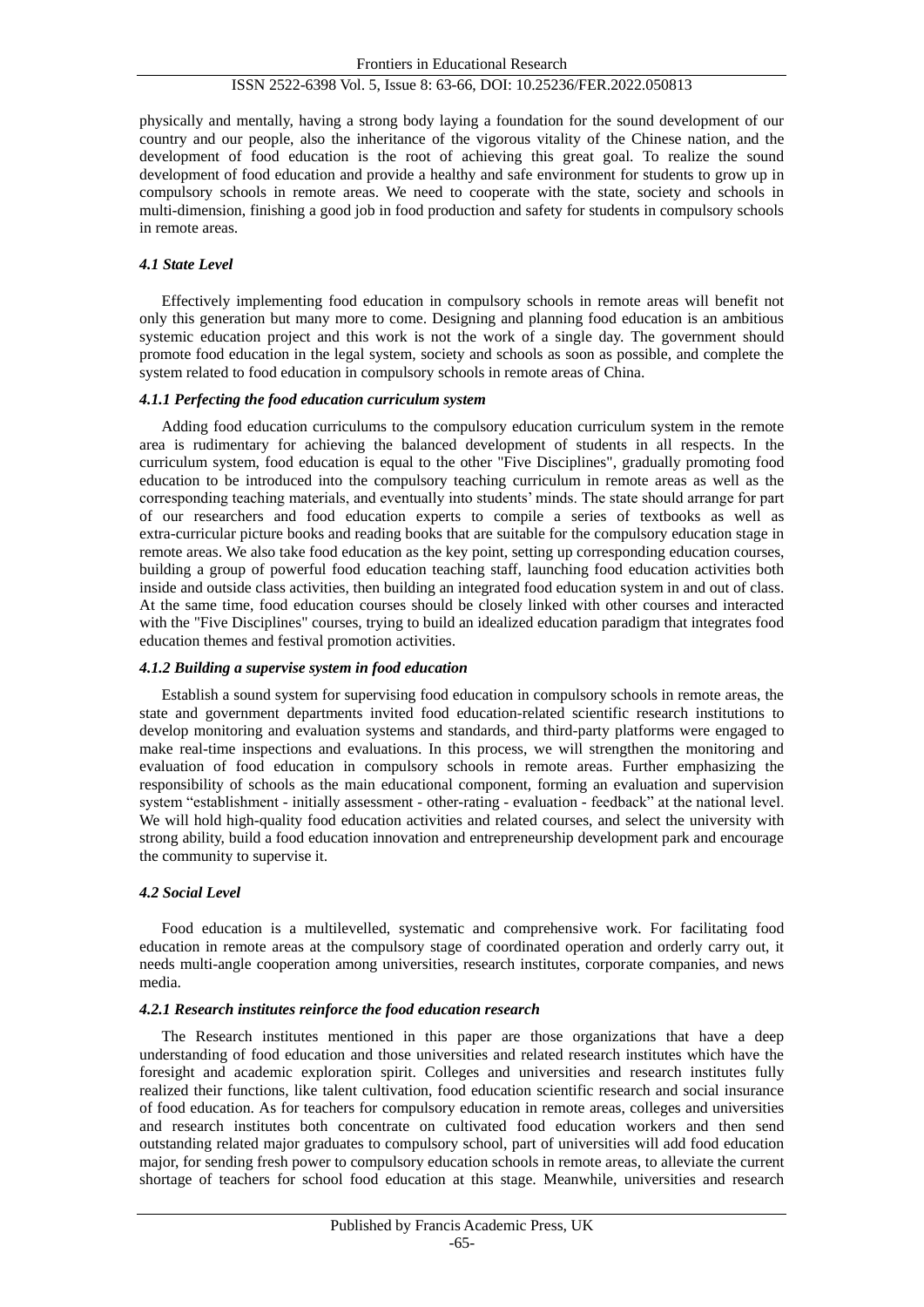#### ISSN 2522-6398 Vol. 5, Issue 8: 63-66, DOI: 10.25236/FER.2022.050813

physically and mentally, having a strong body laying a foundation for the sound development of our country and our people, also the inheritance of the vigorous vitality of the Chinese nation, and the development of food education is the root of achieving this great goal. To realize the sound development of food education and provide a healthy and safe environment for students to grow up in compulsory schools in remote areas. We need to cooperate with the state, society and schools in multi-dimension, finishing a good job in food production and safety for students in compulsory schools in remote areas.

#### *4.1 State Level*

Effectively implementing food education in compulsory schools in remote areas will benefit not only this generation but many more to come. Designing and planning food education is an ambitious systemic education project and this work is not the work of a single day. The government should promote food education in the legal system, society and schools as soon as possible, and complete the system related to food education in compulsory schools in remote areas of China.

#### *4.1.1 Perfecting the food education curriculum system*

Adding food education curriculums to the compulsory education curriculum system in the remote area is rudimentary for achieving the balanced development of students in all respects. In the curriculum system, food education is equal to the other "Five Disciplines", gradually promoting food education to be introduced into the compulsory teaching curriculum in remote areas as well as the corresponding teaching materials, and eventually into students' minds. The state should arrange for part of our researchers and food education experts to compile a series of textbooks as well as extra-curricular picture books and reading books that are suitable for the compulsory education stage in remote areas. We also take food education as the key point, setting up corresponding education courses, building a group of powerful food education teaching staff, launching food education activities both inside and outside class activities, then building an integrated food education system in and out of class. At the same time, food education courses should be closely linked with other courses and interacted with the "Five Disciplines" courses, trying to build an idealized education paradigm that integrates food education themes and festival promotion activities.

#### *4.1.2 Building a supervise system in food education*

Establish a sound system for supervising food education in compulsory schools in remote areas, the state and government departments invited food education-related scientific research institutions to develop monitoring and evaluation systems and standards, and third-party platforms were engaged to make real-time inspections and evaluations. In this process, we will strengthen the monitoring and evaluation of food education in compulsory schools in remote areas. Further emphasizing the responsibility of schools as the main educational component, forming an evaluation and supervision system "establishment - initially assessment - other-rating - evaluation - feedback" at the national level. We will hold high-quality food education activities and related courses, and select the university with strong ability, build a food education innovation and entrepreneurship development park and encourage the community to supervise it.

#### *4.2 Social Level*

Food education is a multilevelled, systematic and comprehensive work. For facilitating food education in remote areas at the compulsory stage of coordinated operation and orderly carry out, it needs multi-angle cooperation among universities, research institutes, corporate companies, and news media.

#### *4.2.1 Research institutes reinforce the food education research*

The Research institutes mentioned in this paper are those organizations that have a deep understanding of food education and those universities and related research institutes which have the foresight and academic exploration spirit. Colleges and universities and research institutes fully realized their functions, like talent cultivation, food education scientific research and social insurance of food education. As for teachers for compulsory education in remote areas, colleges and universities and research institutes both concentrate on cultivated food education workers and then send outstanding related major graduates to compulsory school, part of universities will add food education major, for sending fresh power to compulsory education schools in remote areas, to alleviate the current shortage of teachers for school food education at this stage. Meanwhile, universities and research